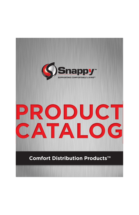

## PRODUCT CATALOG

### **Comfort Distribution Products™**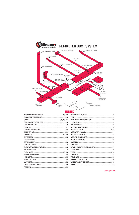

### **INDEX**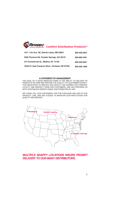

| 1011 11th Ave. SE, Detroit Lakes, MN 56501      | 800-328-2044 |
|-------------------------------------------------|--------------|
| 3365 Florence Rd, Powder Springs, GA 30127      | 800-888-4391 |
| 214 Commercial St., Medina, NY 14103            | 800-229-0021 |
| 16233 N. East Cameron Blvd., Portland, OR 97230 | 800-300-1660 |

### **A STATEMENT BY MANAGEMENT**

THE GOAL OF A GOOD MANUFACTURER IS THE ABILITY TO DELIVER ITS PRODUCTS ON TIME AND PROVIDE THE QUALITY ITS CUSTOMERS EXPECT. THIS DEDICATION TO SERVICE AND QUALITY HAS EARNED OUR COMPANY LOYALTY AND RESPECT FROM OUR CUSTOMERS, AND HAS PROVIDED US WITH CONTINUOUS GROWTH SINCE OUR FORMATION IN 1955.

WE THANK YOU, OUR CUSTOMERS, FOR THE PURCHASE AND USE OF OUR PRODUCT LINE, AND WE PLEDGE TO MAINTAIN OUR REPUTATION FOR QUALITY AND SERVICE.



### **MULTIPLE SNAPPY LOCATIONS INSURE PROMPT DELIVERY TO OUR MANY DISTRIBUTORS.**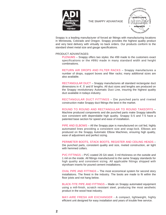

THE SNAPPY ADVANTAGE



Snappy is a leading manufacturer of forced air fittings with manufacturing locations in Minnesota, Colorado and Oregon. Snappy provides the highest quality product and very best delivery with virtually no back orders. Our products conform to the standard sheet metal size and gauge specifications.

### PRODUCT ADVANTAGES:

PLENUMS – Snappy offers two styles: the #99 made to the customers exact specifications or the #99U made in many standard width and height combinations.

RETURN AIR DROPS AND FILTER RACKS – Snappy manufactures a number of drops, support boxes and filter racks; many additional sizes are also available.

RECTANGULAR DUCT – Snappy manufactures all standard rectangular duct dimensions in 4', 5' and 8' lengths. All duct sizes and lengths are produced on the Snappy revolutionary Automatic Duct Line, insuring the highest quality duct available in todays industry.

RECTANGULAR DUCT FITTINGS – Die punched parts and riveted construction make Snappy duct fittings the best in the market.

ROUND TO ROUND AND RECTANGULAR TO ROUND TAKEOFFS – Machine produced components and die punched parts make Snappy takeoffs size consistent with dependable high quality. Snappy S-5 and T-5 have a patented base section for speed and ease of installation.

PIPE AND ELBOWS – All the Snappy pipe is manufactured on coil fed, highly automated lines providing a consistent size and snap-lock. Elbows are produced on the Snappy Automatic Elbow Machines, ensuring high quality, ease of adjustment and perfect sizing.

PERIMETER BOOTS, STACK BOOTS, REGISTER AND CEILING HEADS – Die punched parts, consistent quality and size, riveted construction, air tight with hemmed collars.

PVC FITTINGS – PVC coated 26 GA steel, 3 mil thickness on the outside and 1 mil on the inside. All fittings manufactured to the same Snappy standards for high quality and consistent sizing. All applicable fittings shipped with styrofoam inserts for poured cement installations.

OVAL PIPE AND FITTINGS – The most economical system for second story installations. The finest in the industry. The boots are made to fit within the floor joists and not hang below.

BLACK-TITE PIPE AND FITTINGS – Made on Snappy automated equipment using a mill-finish, scratch resistant steel, producing the most aesthetic product in the wood heat industry.

MAY-AIRE FRESH AIR EXCHANGER - A compact, lightweight, highly efficient unit designed for easy installation and years of trouble free service.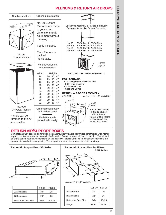### **PLENUMS & RETURN AIR DROPS**

**PLENUMS & RETURN AIR DROPS**

**PLENUMS & RETURN AIR DROPS** 



### **RETURN AIR/SUPPORT BOXES**

Compact and fully assembled for quick installations. Heavy gauge galvanized construction with interior support bracket for maximum strength. Preformed 1" flange for return air duct connection. Two sizes fit all of the bottom return air dimensions on the new lower-profile furnaces. The installer simply cuts the appropriate sized return air opening. The support box raises the furnace for easier servicing.



| 30"  | 38"   |
|------|-------|
| 20"  | 26"   |
| 8x24 | 10x25 |
|      |       |



|                      | <b>SBF 30</b> | <b>SBF 36</b> |
|----------------------|---------------|---------------|
| A Dimension          | 30"           | 36"           |
| <b>B</b> Dimension   | 22"           | 26"           |
| Return Air Duct Size | 8x24          | 10x25         |
| Weight               | 33 lbs.       | $35$ lbs.     |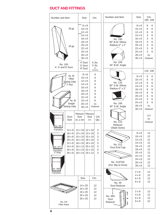### **DUCT AND FITTINGS**

| Number and Item                  |                                                                                            | Size                                                                                                                                                                                                    |              |                                                                                                    | Ctn.                                                  | Number and Item                                                          | <b>Size</b>                                                                                                                                                              | Ctn.<br>190 109                                                |                                                   |
|----------------------------------|--------------------------------------------------------------------------------------------|---------------------------------------------------------------------------------------------------------------------------------------------------------------------------------------------------------|--------------|----------------------------------------------------------------------------------------------------|-------------------------------------------------------|--------------------------------------------------------------------------|--------------------------------------------------------------------------------------------------------------------------------------------------------------------------|----------------------------------------------------------------|---------------------------------------------------|
| No. 100<br>4', 5' and 8' Duct    | 28 ga<br>26 ga.                                                                            | $10 \times 8$<br>$12 \times 8$<br>$14 \times 8$<br>$16 \times 8$<br>$18 \times 8$<br>$20 \times 8$<br>$22 \times 8$<br>$24 \times 8$<br>$26 \times 8$<br>$30 \times 8$<br>4' Duct<br>5' Duct<br>8' Duct | $8 \times 8$ |                                                                                                    | 6 Jts.<br>5 Jts.<br>As<br>Ordered                     | No. 190<br>90° B.W. Elbow<br>Radius=2" x 2"<br>No. 109<br>45° B.W. Angle | 8 x 8<br>$10 \times 8$<br>$12 \times 8$<br>$14 \times 8$<br>$16 \times 8$<br>$18 \times 8$<br>$20 \times 8$<br>$22 \times 8$<br>24 x 8<br>26 x 8<br>$30 \times 8$        | 6<br>6<br>6<br>3<br>3<br>3<br>3<br>3<br>3<br>As<br>Ordered     | 6<br>6<br>6<br>6<br>6<br>$\,6$<br>$\,6$<br>6<br>6 |
|                                  | No. 50                                                                                     |                                                                                                                                                                                                         | 8 x 8        |                                                                                                    | 6                                                     |                                                                          |                                                                                                                                                                          | 116 106                                                        |                                                   |
| <b>再生的过去式</b>                    | Offset<br><b>Starting Collar</b><br>2" Rise<br>No. 45<br>Straight<br>Starting Collar       | $10 \times 8$<br>$12 \times 8$<br>$14 \times 8$<br>$16 \times 8$<br>$18 \times 8$<br>$20 \times 8$<br>$22 \times 8$<br>$24 \times 8$<br>$26 \times 8$<br>$30 \times 8$                                  |              |                                                                                                    | 6<br>6<br>6<br>6<br>6<br>6<br>6<br>6<br>As<br>Ordered | No. 116<br>90° S.W. Elbow<br>Radius=2" x 2"<br>No. 106<br>45° S.W. Angle | 8 x 8<br>$10 \times 8$<br>$12 \times 8$<br>$14 \times 8$<br>$16 \times 8$<br>$18 \times 8$<br>$20 \times 8$<br>$22 \times 8$<br>24 x 8<br>$26 \times 8$<br>$30 \times 8$ | 6<br>6<br>6<br>6<br>6<br>6<br>6<br>3<br>3<br>As<br>Ordered     | 6<br>6<br>6<br>6<br>6<br>6<br>6<br>6<br>6         |
| No. 46L<br>Transition            | Duct<br>Size                                                                               | Plenum<br><b>Size</b><br>46L & 48R                                                                                                                                                                      |              | Plenum<br>Size<br>47C                                                                              | Ctn<br>Qty.                                           | No. 113<br>Reducer<br>(State Sizes)                                      |                                                                                                                                                                          | 113<br>As<br>Ordered                                           |                                                   |
| √o. 47C<br>Transition<br>2" Rise | $14 \times 8$<br>$16 \times 8$<br>18 x 8<br>20 x 8<br>22 x 8<br>24 x 8<br>26 x 8<br>30 x 8 | $12 \times 10$<br>13 x 10<br>15 x 10<br>16 x 10<br>18 x 10<br>$16 \times 12$<br>$15 \times 14$<br>$18 \times 14$                                                                                        |              | $12 \times 10$<br>$13 \times 10$<br>15 x 10<br>18 x 10<br>18 x 10<br>20 x 10<br>22 x 10<br>24 x 12 | 3<br>3<br>3<br>3<br>3<br>3<br>3<br>3                  | No. 212<br>Duct End Cap<br>No. 212FSD<br>(For Slip & Drive)              | $8 \times 8$<br>$10 \times 8$<br>$12 \times 8$<br>$14 \times 8$<br>$16 \times 8$<br>$18 \times 8$<br>20 x 8<br>22 x 8<br>24 x 8<br>26 x 8<br>$30 \times 8$               | 12<br>12<br>12<br>12<br>12<br>12<br>12<br>12<br>12<br>12<br>12 |                                                   |
| o. 48F<br>Transition             |                                                                                            | Size<br>14 x 20                                                                                                                                                                                         |              |                                                                                                    | Ctn.<br>12 <sup>2</sup>                               | No. 49<br>Duct Reducer                                                   | $2 \times 8$<br>$4 \times 8$<br>$6 \times 8$<br>$8 \times 8$                                                                                                             | 12<br>12<br>12<br>12                                           |                                                   |
| No. FR<br><b>Filter Rack</b>     |                                                                                            | 16 x 20<br>16 x 25<br>20 x 20<br>20 x 25                                                                                                                                                                |              |                                                                                                    | 12<br>12<br>12<br>12                                  | No. 49S<br>Duct<br>Reducer                                               | $2 \times 8$<br>$4 \times 8$<br>$6 \times 8$<br>$8 \times 8$                                                                                                             | 12<br>12<br>12<br>12                                           |                                                   |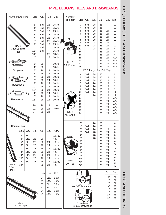### **PIPE, ELBOWS, TEES AND DRAWBANDS**

| Number and Item                                                                                                | Size                                                                     | Ga.                                                                        | Ga.                                                | Ctn.                                                                                                                               | Number<br>and Item    | Size                                                                                    | Ga.                                                          | Ga.                                                | Ga.                                                                              | Ga.                                                                  | Ctn.                                                                                       |
|----------------------------------------------------------------------------------------------------------------|--------------------------------------------------------------------------|----------------------------------------------------------------------------|----------------------------------------------------|------------------------------------------------------------------------------------------------------------------------------------|-----------------------|-----------------------------------------------------------------------------------------|--------------------------------------------------------------|----------------------------------------------------|----------------------------------------------------------------------------------|----------------------------------------------------------------------|--------------------------------------------------------------------------------------------|
| No. 1<br>2' Galvanized<br>Pipe                                                                                 | 3"<br>4"<br>5"<br>6"<br>7"<br>8"<br>9"<br>10"<br>12"<br>10"<br>12"<br>3" | Std.<br>Std.<br>Std.<br>Std.<br>Std.<br>Std.<br>Std.<br>Std.<br>Std.<br>26 | 28<br>28<br>28<br>28<br>28<br>28<br>28<br>28<br>28 | 25 Jts.<br>25 Jts.<br>25 Jts.<br>25 Jts.<br>25 Jts.<br>25 Jts.<br>25 Jts.<br>25 Jts.<br>25 Jts.<br>10 Jts.<br>10 Jts.<br>$10$ Jts. | No. 3<br>90° Elbows   | 3"<br>4"<br>5"<br>6"<br>7"<br>8"<br>9"<br>10"<br>12"<br>14"<br>16"<br>18"<br>20"<br>22" | Std.<br>Std.<br>Std.<br>Std.<br>Std.<br>Std.<br>Std.<br>Std. | 28<br>28<br>28<br>28<br>28<br>28<br>28<br>28<br>28 | 26<br>26<br>26<br>26<br>26<br>26<br>26<br>26<br>26<br>26<br>26<br>26<br>26<br>26 | 24<br>24<br>24<br>24<br>24<br>24<br>24<br>24<br>24<br>24<br>24<br>24 | 12<br>12<br>12<br>12<br>12<br>12<br>12<br>12<br>4<br>$\overline{4}$<br>4<br>AO<br>AO<br>AO |
| Snaplock                                                                                                       | 4"<br>5"                                                                 | 26<br>26                                                                   | 24                                                 | 10 Jts.<br>10 Jts.                                                                                                                 |                       | 24"                                                                                     |                                                              |                                                    | 26<br>18" & Larger Are Bolt-Type                                                 | 24                                                                   | AO                                                                                         |
| <b>Buttonlock</b><br>Hammerlock                                                                                | 6"<br>7"<br>8"<br>9"<br>10"<br>12"<br>14"<br>16"<br>18"                  | 26<br>26<br>26<br>26<br>26<br>26<br>26<br>26<br>26                         | 24<br>24<br>24<br>24<br>24<br>24<br>24<br>24<br>24 | 10 Jts.<br>10 Jts.<br>10 Jts.<br>10 Jts.<br>10 Jts.<br>10 Jts.<br>10 Jts.<br>10 Jts.<br>10 Jts.                                    |                       | 4"<br>5"<br>6"<br>7"<br>8"<br>9"<br>10"<br>12"<br>14"<br>16"                            | Std.<br>Std.<br>Std.<br>Std.<br>Std.<br>Std.<br>Std.         | 28<br>28<br>28<br>28<br>28<br>28<br>28<br>28       | 26<br>26<br>26<br>26<br>26<br>26<br>26<br>26<br>26<br>26                         | 24<br>24<br>24<br>24<br>24<br>24<br>24<br>24<br>24                   | 24<br>24<br>24<br>24<br>24<br>24<br>12<br>12<br>AO<br>AO                                   |
|                                                                                                                | 20"<br>22"<br>24"                                                        | 26<br>26<br>26                                                             | 24<br>24<br>24                                     | As<br>Ordered                                                                                                                      | No. 4<br>45° Angle    | 18"<br>20"<br>22"<br>24"                                                                |                                                              |                                                    | 26<br>26<br>26<br>26                                                             | 24<br>24<br>24<br>24                                                 | AO<br>AO<br>AO<br>AO                                                                       |
| 2' Hammerlock                                                                                                  |                                                                          |                                                                            |                                                    |                                                                                                                                    |                       | 3"<br>4"                                                                                | Std.                                                         | 28<br>28                                           | 26<br>26                                                                         |                                                                      | 6<br>6                                                                                     |
| Size<br>Ga.<br>3"<br>Std.<br>4"<br>Std.<br>5"<br>Std.                                                          | Ga.<br>28<br>28                                                          | Ga.<br>26<br>26                                                            | Ga.<br>24                                          | Ctn.<br>10 Jts.<br>10 Jts.<br>10 Jts.                                                                                              | <b>REPORTED TO BE</b> | 5"<br>6"<br>7"<br>8"<br>9"                                                              | Std.<br>Std.                                                 | 28<br>28<br>28<br>28                               | 26<br>26<br>26<br>26<br>26                                                       | 24<br>24<br>24<br>24<br>24                                           | 6<br>6<br>6<br>6<br>Α                                                                      |
| 6"<br>Std.<br>7"<br>Std.<br>8"<br>Std.<br>9"<br>Std.<br>10"<br>Std.<br>12"<br>Std.<br>No. 1<br>14"<br>5' Galv. | 28<br>28<br>28<br>28<br>28<br>28                                         | 26<br>26<br>26<br>26<br>26<br>26<br>26                                     | 24<br>24<br>24<br>24<br>24<br>24<br>24             | 10 Jts.<br>10 Jts.<br>10 Jts.<br>10 Jts.<br>10 Jts.<br>10 Jts.<br>10 Jts.                                                          | No.6<br>90° Tee       | 10"<br>12"<br>14"<br>16"<br>18"<br>20"<br>22"<br>24"                                    |                                                              |                                                    | 26<br>26<br>26<br>26<br>26<br>26<br>26<br>26                                     | 24<br>24<br>24<br>24<br>24<br>24<br>24<br>24                         | S<br>O<br>R<br>D<br>E<br>R<br>E<br>D                                                       |
| Pipe                                                                                                           |                                                                          | Size                                                                       | Ga.                                                | Ctn.                                                                                                                               |                       |                                                                                         |                                                              |                                                    |                                                                                  | Size                                                                 | Ctn.                                                                                       |
| No. 1<br>10' Galv. Pipe                                                                                        |                                                                          | 3"<br>4"<br>5"<br>6"<br>7"<br>8"                                           | Std.<br>Std.<br>Std.<br>Std.<br>Std.<br>Std.       | 5 Jts.<br>5 Jts.<br>5 Jts.<br>5 Jts.<br>5 Jts.<br>5 Jts.                                                                           |                       |                                                                                         | No. S75 Drawband<br>No. S55 Drawband                         |                                                    |                                                                                  | 4"<br>5"<br>6"<br>7"<br>8"<br>9"<br>$10"$<br>12"                     | 24<br>24<br>24<br>24<br>24<br>24<br>24<br>24                                               |

**5**

DUCT AND FITTINGS

**PIPE, ELBOWS, TEES AND DRAWBANDS DUCT AND FITTINGS**

PIPE, ELBOWS, TEES AND DRAWBANDS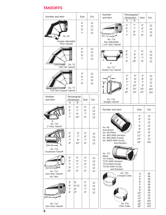### **TAKEOFFS**

| Number and Item                                          |                                   |                            | Size                       | Ctn.                       | Number<br>and Item                                                                                                   | Dimension<br>A                                   | Rectangular<br>B                    | Size                                                                         | Ctn.                                                                 |
|----------------------------------------------------------|-----------------------------------|----------------------------|----------------------------|----------------------------|----------------------------------------------------------------------------------------------------------------------|--------------------------------------------------|-------------------------------------|------------------------------------------------------------------------------|----------------------------------------------------------------------|
| Snappy Adjustable                                        | No. S5<br><b>Pivot Takeoff</b>    |                            | 4"<br>5"<br>6"<br>7"       | 12<br>12<br>12<br>12       | A <sup>4</sup><br>No. T16<br>Non-Adjustable<br>1 1/4" Rise Takeoff                                                   | 5"<br>6"<br>7"<br>7"                             | 7"<br>7"<br>8"<br>9"                | 5"<br>6"<br>7"<br>8"                                                         | 12<br>12<br>12<br>12                                                 |
| <b>UUUUMI</b>                                            | <b>No. T5</b><br>Half Tab Takeoff |                            | 4"<br>5"<br>6"<br>7"       | 12<br>12<br>12<br>12       | А<br>B<br>No. T17<br>Double Top Takeoff                                                                              | 5"<br>6"<br>7"<br>8"                             | 7"<br>8"<br>9"<br>10"               | 5"<br>6"<br>7"<br>8"                                                         | 12<br>12<br>12<br>12                                                 |
| <b>uccococococoxia</b><br>Full-Tab Crimped Takeoff       | <b>No. T7</b>                     |                            | 5"<br>6"<br>7"<br>8"       | 12<br>12<br>12<br>12       | T<br>B                                                                                                               | 5"<br>6"<br>7"<br>7"<br>8"<br>10"                | 6"<br>8"<br>9"<br>10"<br>10"<br>14" | 5"<br>6"<br>7"<br>8"<br>10"<br>12"                                           | 12<br>12<br>12<br>12<br>AO<br>AO                                     |
| Number<br>and Item                                       | Dimension<br>A                    | Rectangular<br>B           | Size                       | Ctn.                       | No. T19<br><b>Straight Takeoff</b>                                                                                   |                                                  |                                     |                                                                              |                                                                      |
| B<br>No. T10<br>2" Rise Takeoff                          | 5"<br>6"<br>7"<br>7"              | 6"<br>7"<br>8"<br>10"      | 5"<br>6"<br>7"<br>8"       | 12<br>12<br>12<br>12       | Number and Item<br>No. 89                                                                                            |                                                  |                                     | Size<br>5"<br>6"<br>7"<br>8"                                                 | Ctn.<br>12<br>12<br>12<br>12                                         |
| No. T12                                                  | 5"<br>6"<br>7"<br>8"              | 6"<br>7"<br>8"<br>10"      | 5"<br>6"<br>7"<br>8"       | 12<br>12<br>12<br>12       | Duct Board<br>No. 89 (Plain)<br>No. 89D (With Damper)<br>No. 89S (With Scoop)<br>No. 89SD (With Scoop<br>and Damper) | <b>Level</b>                                     |                                     | 9"<br>10"<br>12"<br>14"<br>16"                                               | 12<br>12<br>12<br>12<br>AO                                           |
| <b>Ductboard Takeoff</b><br>No. T14<br>Zero Rise Takeoff | 5"<br>6"<br>7"<br>9"<br>10"       | 5"<br>6"<br>7"<br>7"<br>8" | 4"<br>5"<br>6"<br>7"<br>8" | 12<br>12<br>12<br>12<br>12 | No. T27<br>Metal<br>T27 (Plain)<br>T27D (With Damper)<br>T27S (With Scoop)<br>T27SD (With Scoop<br>and Damper)       | No. T25                                          |                                     | 3"                                                                           | 36                                                                   |
| No Tabs<br>᠊ᡂᡡ<br>No. T15<br>Zero Rise Takeoff           | 5"<br>6"<br>7"<br>8"              | 6"<br>$63/4$ "<br>8"<br>9" | $5"$<br>6"<br>7"<br>8"     | 12<br>12<br>12<br>12       | MWW                                                                                                                  | <b>Crimped Collar</b><br>No. T26<br>Plain Collar |                                     | 4"<br>5"<br>6"<br>7"<br>8"<br>9"<br>$10"$<br>12"<br>14"<br>16"<br>18"<br>20" | 36<br>36<br>36<br>36<br>36<br>36<br>24<br>24<br>24<br>AO<br>AO<br>AO |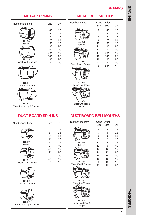### **SPIN-INS**

### **METAL SPIN-INS**

### **METAL BELLMOUTHS**

| Number and Item                                                                                                              | <b>Size</b>                                                         | Ctn.                                                           | Number and Item                                                                                                              | Cone<br>Size                                                                 | Order<br>Size                                                              | Ctn.                                                                                |
|------------------------------------------------------------------------------------------------------------------------------|---------------------------------------------------------------------|----------------------------------------------------------------|------------------------------------------------------------------------------------------------------------------------------|------------------------------------------------------------------------------|----------------------------------------------------------------------------|-------------------------------------------------------------------------------------|
| No. 94<br>Takeoff<br>No. 95<br><b>Takeoff With Damper</b><br>No. 96<br>Takeoff W/Scoop<br>No. 97<br>Takeoff w/Scoop & Damper | 4"<br>5"<br>6"<br>7"<br>8"<br>9"<br>10"<br>12"<br>14"<br>16"<br>18" | 12<br>12<br>12<br>12<br>12<br>AO<br>AO<br>AO<br>AO<br>AO<br>AO | No. 951<br>Takeoff<br>No. 952<br>Takeoff With Damper<br>No. 953<br>Takeoff W/Scoop<br>No. 954<br>Takeoff w/Scoop &<br>Damper | 6"<br>7"<br>8"<br>9"<br>10"<br>11"<br>12"<br>14"<br>16"<br>18"<br>20"<br>22" | 4"<br>5"<br>6"<br>7"<br>8"<br>9"<br>10"<br>12"<br>14"<br>16"<br>18"<br>20" | $12 \overline{ }$<br>12<br>12<br>12<br>12<br>AO<br>AO<br>AO<br>AO<br>AO<br>AO<br>AO |

### **DUCT BOARD SPIN-INS**

### **DUCT BOARD BELLMOUTHS**

Cone Order

6" 7" 8" 9" 10" 11" 12" 14" 16" 18" 20" 22"

Size Size Ctn. 4" 5" 6" 7" 8" 9" 10" 12" 14" 16" 18" 20"

12 12 12 12 12 AO AO AO AO AO AO AO

| Number and Item                                                                                                       | Size                                                                | Ctn.                                                           | Number and Item                                                                                                                            |
|-----------------------------------------------------------------------------------------------------------------------|---------------------------------------------------------------------|----------------------------------------------------------------|--------------------------------------------------------------------------------------------------------------------------------------------|
| No. 90<br>Takeoff<br>No. 91<br>Takeoff With Damper<br>No. 92<br>Takeoff W/Scoop<br>No. 93<br>Takeoff w/Scoop & Damper | 4"<br>5"<br>6"<br>7"<br>8"<br>9"<br>10"<br>12"<br>14"<br>16"<br>18" | 12<br>12<br>12<br>12<br>12<br>AO<br>AO<br>AO<br>AO<br>AO<br>AO | No. 955<br><b>Takeoff</b><br>No. 956<br><b>Takeoff With Damper</b><br>No. 957<br>Takeoff W/Scoop<br>No. 958<br>Takeoff w/Scoop &<br>Damper |

**SPIN-INS TAKEOFFS TAKEOFFS** 

**7**

### SNI-IN-S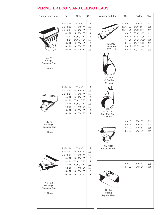### **PERIMETER BOOTS AND CEILING HEADS**

| Number and Item                                     | Size                                                                                                                 | Collar                                                                                                                                                               | Ctn.                                               | Number and Item<br>Size<br>Collar                                                                                                                                                                                                                                                                                                                                                    | Ctn.                                               |
|-----------------------------------------------------|----------------------------------------------------------------------------------------------------------------------|----------------------------------------------------------------------------------------------------------------------------------------------------------------------|----------------------------------------------------|--------------------------------------------------------------------------------------------------------------------------------------------------------------------------------------------------------------------------------------------------------------------------------------------------------------------------------------------------------------------------------------|----------------------------------------------------|
| No. P5<br>Straight<br>Perimeter Boot<br>2" Throat   | $21/4 \times 10$<br>$21/4 \times 12$<br>$21/4 \times 14$<br>4 x 10<br>4 x 12<br>4 x 14<br>6 x 10<br>6 x 12<br>6 x 14 | 5" or 6"<br>5", 6" or 7"<br>5", 6" or 7"<br>5", 6" or 7"<br>$5$ ", $6$ ", $7$ ", $8$ "<br>$5$ ", $6$ ", $7$ ", $8$ "<br>6", 7" or 8"<br>6", 7" or 8"<br>6", 7" or 8" | 12<br>12<br>12<br>12<br>12<br>12<br>12<br>12<br>12 | $21/4 \times 10$<br>5" or 6"<br>$21/4 \times 12$<br>5", 6" or 7"<br>$21/4 \times 14$<br>5", 6" or 7"<br>5", 6" or 7"<br>4 x 10<br>$5$ ", $6$ ", $7$ ", $8$ "<br>4 x 12<br>$5$ ", $6$ ", $7$ ", $8$ "<br>4 x 14<br>6", 7" or 8"<br>6 x 10<br><b>No. P17</b><br>6", 7" or 8"<br>6 x 12<br>Center Boot<br>2" Throat<br>6", 7" or 8"<br>6 x 14<br>No. P17L<br>Left End Boot<br>2" Throat | 12<br>12<br>12<br>12<br>12<br>12<br>12<br>12<br>12 |
|                                                     | $21/4 \times 10$<br>2 1/4 x 12<br>2 1/4 x 14<br>4 x 10<br>4 x 12<br>4 x 14<br>6 x 10<br>6 x 12<br>6 x 14             | 5" or 6"<br>5", 6" or 7"<br>5", 6" or 7"<br>5", 6" or 7"<br>$5$ ", $6$ ", $7$ ", $8$ "<br>$5$ ", $6$ ", $7$ ", $8$ "<br>6", 7" or 8"<br>6", 7" or 8"<br>6", 7" or 8" | 12<br>12<br>12<br>12<br>12<br>12<br>12<br>12<br>12 | No P17R<br>Right End Boot<br>2" Throat                                                                                                                                                                                                                                                                                                                                               |                                                    |
| No. P7<br>45° Angle<br>Perimeter Boot<br>2" Throat  |                                                                                                                      |                                                                                                                                                                      |                                                    | 5" or 6"<br>$4 \times 10$<br>5" or 6"<br>4 x 12<br>5" or 6"<br>6 x 10<br>5" or 6"<br>6 x 12                                                                                                                                                                                                                                                                                          | 12<br>12<br>12<br>12                               |
|                                                     | $21/4 \times 10$<br>2 1/4 x 12<br>$21/4 \times 14$<br>4 x 10                                                         | 5" or 6"<br>5", 6" or 7"<br>5", 6" or 7"<br>5", 6" or 7"                                                                                                             | 12<br>12<br>12<br>12                               | No. PB13<br><b>Basement Boot</b>                                                                                                                                                                                                                                                                                                                                                     |                                                    |
| No. P13<br>90° Angle<br>Perimeter Boot<br>2" Throat | 4 x 12<br>4 x 14<br>6 x 10<br>6 x 12<br>6 x 14                                                                       | $5$ ", $6$ ", $7$ ", $8$ "<br>$5$ ", $6$ ", $7$ ", $8$ "<br>6", 7" or 8"<br>6", 7" or 8"<br>6", 7" or 8"                                                             | 12<br>12<br>12<br>12<br>12                         | 5" or 6"<br>6 x 10<br>5" or 6"<br>6 x 12<br>No. 20<br>Ceiling<br>Register Head                                                                                                                                                                                                                                                                                                       | 12<br>12                                           |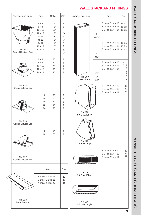### **WALL STACK AND FITTINGS WALL STACK AND FITTINGS**

**WALL STACK AND FITTINGS**

# **PERIMETER BOOTS AND CELING HEADS PERIMETER BOOTS AND CEILING HEADS**

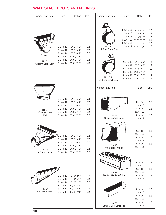### **WALL STACK BOOTS AND FITTINGS**

| Number and Item                         | Size                                                                                                           | Collar                                                                                                                                 | Ctn.                             | Number and Item<br>Size<br>Collar                                                                                                                                                                                                                                                                                                                                                                                                                                                                                                                                             | Ctn.                                                                 |
|-----------------------------------------|----------------------------------------------------------------------------------------------------------------|----------------------------------------------------------------------------------------------------------------------------------------|----------------------------------|-------------------------------------------------------------------------------------------------------------------------------------------------------------------------------------------------------------------------------------------------------------------------------------------------------------------------------------------------------------------------------------------------------------------------------------------------------------------------------------------------------------------------------------------------------------------------------|----------------------------------------------------------------------|
| No. 5<br>Straight Stack Boot            | $21/4 \times 10$<br>2 1/4 x 12<br>$21/4 \times 14$<br>$31/4 \times 10$<br>$31/4 \times 12$<br>$31/4 \times 14$ | 5", 6" or 7"<br>5", 6" or 7"<br>5", 6" or 7"<br>$5$ ", $6$ ", $7$ ", $8$ "<br>$5$ ", $6$ ", $7$ ", $8$ "<br>$5$ ", $6$ ", $7$ ", $8$ " | 12<br>12<br>12<br>12<br>12<br>12 | 2 1/4 x 10<br>5", 6" or 7"<br>2 1/4 x 12<br>5", 6" or 7"<br>$21/4 \times 14$<br>5", 6" or 7"<br>$31/4 \times 10$<br>$5$ ", $6$ ", $7$ ", $8$ "<br>$31/4 \times 12$<br>5", 6", 7", 8"<br>No. 17L<br>$31/4 \times 14$<br>$5$ ", $6$ ", $7$ ", $8$ "<br>Left End Stack Boot<br>5", 6" or 7"<br>$21/4 \times 10$<br>$21/4 \times 12$<br>5", 6" or 7"<br>$21/4 \times 14$<br>5", 6" or 7"<br>$31/4 \times 10$<br>$5$ ", $6$ ", $7$ ", $8$ "<br>$31/4 \times 12$<br>$5$ ", $6$ ", $7$ ", $8$ "<br>No. 17R<br>$31/4 \times 14$<br>$5$ ", $6$ ", $7$ ", $8$ "<br>Right End Stack Boot | 12<br>12<br>12<br>12<br>12<br>12<br>12<br>12<br>12<br>12<br>12<br>12 |
|                                         |                                                                                                                |                                                                                                                                        |                                  | Number and Item<br>Size                                                                                                                                                                                                                                                                                                                                                                                                                                                                                                                                                       | Ctn.                                                                 |
| No. 7<br>45° Angle Stack<br><b>Boot</b> | $21/4 \times 10$<br>2 1/4 x 12<br>2 1/4 x 14<br>$31/4 \times 10$<br>$31/4 \times 12$<br>3 1/4 x 14             | 5", 6" or 7"<br>5", 6" or 7"<br>5", 6" or 7"<br>$5$ ", $6$ ", $7$ ", $8$ "<br>$5$ ", $6$ ", $7$ ", $8$ "<br>$5$ ", $6$ ", $7$ ", $8$ " | 12<br>12<br>12<br>12<br>12<br>12 | 3 1/4 or<br>$21/4 \times 10$<br>3 1/4 or<br>2 1/4 x 12<br>3 1/4 or<br>No. 35<br><b>Offset Starting Collar</b><br>$21/4 \times 14$                                                                                                                                                                                                                                                                                                                                                                                                                                             | 12<br>12<br>12                                                       |
| No. 13                                  | 2 1/4 x 10<br>2 1/4 x 12<br>$21/4 \times 14$<br>$31/4 \times 10$<br>3 1/4 x 12                                 | 5", 6" or 7"<br>5", 6" or 7"<br>5", 6" or 7"<br>$5$ ", $6$ ", $7$ ", $8$ "<br>$5$ ", $6$ ", $7$ ", $8$ "                               | 12<br>12<br>12<br>12<br>12       | 3 1/4 or<br>$21/4 \times 10$<br>3 1/4 or<br>2 1/4 x 12<br>3 1/4 or<br>No. 40<br>$21/4 \times 14$<br>90° Starting Collar                                                                                                                                                                                                                                                                                                                                                                                                                                                       | 12<br>12<br>12                                                       |
| 90° Stack Boot                          | $31/4 \times 14$                                                                                               | $5$ ", $6$ ", $7$ ", $8$ "                                                                                                             | 12                               | NT THE LA PRODUCTION OF PLANT<br>$\mathbf{m}_{\mathbf{H}}$<br>3 1/4 or<br>2 1/4 x 10<br>$31/4$ or<br>2 1/4 x 12<br>No. 36<br><b>Straight Starting Collar</b><br>$31/4$ or                                                                                                                                                                                                                                                                                                                                                                                                     | 12<br>12<br>12                                                       |
| No. 17<br><b>End Stack Boot</b>         | 2 1/4 x 10<br>2 1/4 x 12<br>2 1/4 x 14<br>$31/4 \times 10$<br>3 1/4 x 12<br>$31/4 \times 14$                   | 5", 6" or 7"<br>5", 6" or 7"<br>5", 6" or 7"<br>5", 6", 7", 8"<br>5", 6", 7", 8"<br>5", 6", 7",8"                                      | 12<br>12<br>12<br>12<br>12<br>12 | 2 1/4 x 14<br>3 1/4 or<br>$21/4 \times 10$<br>$31/4$ or<br>2 1/4 x 12<br>3 1/4 or<br>No. 33<br>$21/4 \times 14$<br><b>Straight Boot Extension</b>                                                                                                                                                                                                                                                                                                                                                                                                                             | 12<br>12<br>12                                                       |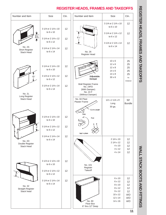### **REGISTER HEADS, FRAMES AND TAKEOFFS** Number and Item Size Ctn. Number and Item Size Ctn. 3 1/4 or 2 1/4 x 10 12 to 6 x 10 3 1/4 or 2 1/4 x 10 12 to 6 x 10 3 1/4 or 2 1/4 x 12 12  $3\frac{1}{2}$ to 6 x 12  $8\frac{1}{2}$ " 3 1/4 or 2 1/4 x 12 12 to 6 x 12 3 1/4 or 2 1/4 x 14 12 to 6 x 14

No. 26 Register Head

No. 24FD

Adjustable

Cut to Length

Fold

Damper

No. 24 F

Snip

No. 101 Register **Takeoff** 

Floor Box 6" thru 12" Deep

1/2 x 2 1/4 x 5' Long 30 ga.

> 2 1/4 x 10 2 1/4 x 12 4 x 10 4 x 12 4 x 14

**REGISTER HEADS, FRAMES AND TAKEOFFS**

REGISTER HEADS, FRAMES AND TAKEOFS

## **WALL STACK BOOTS AND FITTINGS WALL STACK BOOTS AND FITTINGS**

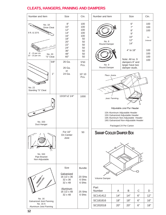### **CLEATS, HANGERS, PANNING AND DAMPERS**

| Number and Item                                                                                         | Size                                                                            | Ctn.                                                                      | Size<br>Number and Item<br>Ctn.                                                                                                                                                                                            |
|---------------------------------------------------------------------------------------------------------|---------------------------------------------------------------------------------|---------------------------------------------------------------------------|----------------------------------------------------------------------------------------------------------------------------------------------------------------------------------------------------------------------------|
| No. 18<br>Drive Cleat<br>8 ft. & 10 ft.<br>8' - 15 per ctn.<br>No. 20<br>10' - 15 per ctn.<br>"S" Cleat | 8"<br>10"<br>12"<br>14"<br>16"<br>18"<br>20"<br>22"<br>24"<br>36"<br>48"<br>60" | 100<br>100<br>100<br>100<br>100<br>50<br>50<br>50<br>50<br>50<br>50<br>50 | 6"<br>100<br>7"<br>100<br>8"<br>100<br>9"<br>10"<br>As<br>12"<br>Ordered<br>No. 8<br>14"<br>Round Damper<br>4" to 18"<br>100<br>100<br>100<br>Note: All no. 9<br>100                                                       |
| 5/8"                                                                                                    | 26 Ga.<br>26 Ga.                                                                | 5'50<br>Pcs.                                                              | dampers 8" and<br>No. 9<br>larger have two<br>Round Damper<br>damper studs.                                                                                                                                                |
| 1"<br>No. 22<br>Standing "S" Cleat                                                                      | or<br>24 Ga.                                                                    | 10' 10<br>Pcs.                                                            | Floor Joists                                                                                                                                                                                                               |
| No. 333<br>Duct Hanger                                                                                  | 13/16"x2 1/4"                                                                   | 1000                                                                      | Joist Panning<br>Adjustable Joist Pan Header<br>15A Aluminum Adjustable Header<br>15G Galvanized Adjustable Header<br>19A Aluminum Non-Adjustable Header<br>19G Galvanized Non-Adjustable Header<br>Packaged 24 Per Carton |
| $\mathcal{L}$<br>No. 344<br>Pipe Bracket<br>Non-Adjustable                                              | For 16"<br>On Center<br>Joist                                                   | 50                                                                        | <b>SWAMP COOLER DAMPER BOX</b>                                                                                                                                                                                             |
|                                                                                                         | Size<br>Galvanized<br>16 1/2 x 36<br>32 x 36<br>32 x 48                         | <b>Bundle</b><br>20 Shts<br>6 Shts<br>6 Shts                              | Volume Damper                                                                                                                                                                                                              |
|                                                                                                         | <b>Aluminum</b><br>16 1/2 x 48                                                  | 25 Shts<br>6 Shts                                                         | Part<br>$\mathsf{C}$<br>Number<br>B<br>D<br>A                                                                                                                                                                              |
| No. 16                                                                                                  | 32 x 48                                                                         |                                                                           | SC141412<br>14"<br>14"<br>6"<br>12"                                                                                                                                                                                        |
| Galvanized Joist Panning                                                                                |                                                                                 |                                                                           | SC181816<br>18"<br>18"<br>6"<br>16"                                                                                                                                                                                        |
| No. 16 A<br>Aluminum Joist Panning                                                                      |                                                                                 |                                                                           | SC202018<br>20"<br>20"<br>6"<br>18"                                                                                                                                                                                        |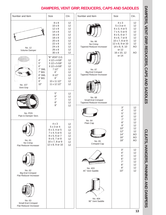### **DAMPERS, VENT GRIP, REDUCERS, CAPS AND SADDLES**

| Number and Item                                                                                   | <b>Size</b>                                                                                                                                                              | Ctn.                                                           | Number and Item                                               | <b>Size</b>                                                                                                                                                                  | Ctn.                                                            |
|---------------------------------------------------------------------------------------------------|--------------------------------------------------------------------------------------------------------------------------------------------------------------------------|----------------------------------------------------------------|---------------------------------------------------------------|------------------------------------------------------------------------------------------------------------------------------------------------------------------------------|-----------------------------------------------------------------|
| No. 12<br>Volume Damper                                                                           | $8 \times 8$<br>$10 \times 8$<br>$12 \times 8$<br>$14 \times 8$<br>$16 \times 8$<br>$18 \times 8$<br>$20 \times 8$<br>$22 \times 8$<br>24 x 8<br>26 x 8<br>$30 \times 8$ | 12<br>12<br>12<br>12<br>12<br>12<br>12<br>12<br>12<br>12<br>12 | No. 66<br>No Crimp<br>Tapered Reducer-Increaser               | $4 \times 3$<br>5 x 3 or 4<br>6 x 3, 4 or 5<br>7 x 4, 5 or 6<br>8 x 5, 6 or 7<br>9 x 6, 7 or 8<br>10 x 7, 8 or 9<br>12 x 8, 9 or 10<br>14 x 8, 9, 10<br>or 12<br>16 x 10, 12 | 12<br>12<br>12<br>12<br>12<br>12<br>12<br>12<br><b>AO</b><br>AO |
| $4"$<br>$5"$<br>$6"$<br>7" SML<br>7" BIG<br>8" SML<br>8" BIG<br>9"<br>10"<br>No. 107<br>Vent Grip | "B" VENT O.D.<br>4 1/2 x 4-5/8"<br>5 1/2 x 5-5/8"<br>6 1/2 x 6-5/8"<br>71/2"<br>8"<br>81/2"<br>9"<br>10 x 11 1/2"<br>11 x 12 1/2"                                        | 12<br>12<br>12<br>12<br>12<br>12<br>12<br>12<br>12             | No. 67<br><b>Big End Crimped</b><br>Tapered Reducer-Increaser | or 14                                                                                                                                                                        |                                                                 |
| No. PDS<br>Pipe & Damper Sect.                                                                    | 5"<br>6"<br>7"<br>8"<br>9"                                                                                                                                               | 12<br>12<br>12<br>12<br>12                                     | No. 68<br>Small End Crimped<br>Tapered Reducer-Increaser      | 3"<br>4"<br>5"<br>6"<br>7"                                                                                                                                                   | 12<br>12<br>12<br>12<br>12                                      |
| No. 61<br>No Crimp<br>Flat Reducer-Increaser                                                      | $4 \times 3$<br>$5 \times 3$ or 4<br>6 x 3, 4 or 5<br>7 x 4, 5 or 6<br>8 x 5, 6 or 7<br>9 x 6, 7 or 8<br>10 x 7, 8 or 9<br>12 x 8, 9 or 10                               | 12<br>12<br>12<br>12<br>12<br>12<br>12<br>12                   | No. 64<br>Plain Cap<br>Montourad<br>No. 65<br>Crimped Cap     | 8"<br>9"<br>10"<br>12"<br>14"<br>16"<br>18"                                                                                                                                  | 12<br>12<br>12<br>12<br>AO<br>AO<br><b>AO</b>                   |
| No. 62<br><b>Big End Crimped</b><br>Flat Reducer-Increaser                                        |                                                                                                                                                                          |                                                                | No. 403<br>45° Vent Saddle                                    | 3"<br>4"<br>5"<br>6"<br>7"<br>8"<br>9"<br>10"                                                                                                                                | 12<br>12<br>12<br>12<br>12<br>12<br>12<br>12                    |
| No. 63<br>Small End Crimped<br>Flat Reducer-Increaser                                             |                                                                                                                                                                          |                                                                | No. 404<br>90° Vent Saddle                                    |                                                                                                                                                                              |                                                                 |

DAMPERS, VENT GRIP, REDUCERS, CAPS AND SADDLES **DAMPERS, VENT GRIP, REDUCERS, CAPS AND SADDLES**

**CLEATS: HANGERS: PANNING AND DAMPERS CLEATS, HANGERS, PANNING AND DAMPERS**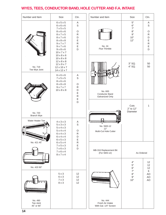### **WYES, TEES, CONDUCTOR BAND, HOLE CUTTER AND F.A. INTAKE**

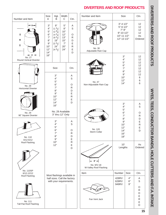### **DIVERTERS AND ROOF PRODUCTS**



DIVERTERS AND ROOL PRODUCTS **DIVERTERS AND ROOF PRODUCTS**

> WYES, TEES, CONDUCTOR BANDS, HOLE CUTTERS AND F.A. INTAKE **WYES, TEES, CONDUCTOR BANDS, HOLE CUTTERS AND F.A. INTAKE**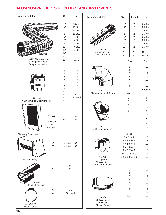### **ALUMINUM PRODUCTS, FLEX DUCT AND DRYER VENTS**

| Number and Item                                   |                                          | Size                                                                                                                                                               | Ctn.                             |                          | Number and Item                                                                | Size                                                                                                                                | Length                                                                                                                             | Ctn.                                                                                              |
|---------------------------------------------------|------------------------------------------|--------------------------------------------------------------------------------------------------------------------------------------------------------------------|----------------------------------|--------------------------|--------------------------------------------------------------------------------|-------------------------------------------------------------------------------------------------------------------------------------|------------------------------------------------------------------------------------------------------------------------------------|---------------------------------------------------------------------------------------------------|
| ,,,,,,,,                                          |                                          | 3"<br>16 Jts.<br>4"<br>16 Jts.<br>5"<br>16 Jts.<br>6"<br>16 Jts.<br>7"<br>9 Jts.<br>8"<br>4 Jts.<br>9"<br>4 Jts.<br>10"<br>4 Jts.<br>12"<br>4 Jts.<br>14"<br>1 Jt. |                                  | No. 400<br>Aluminum Pipe |                                                                                | 3"<br>4"<br>5"<br>6"<br>7"<br>8"<br>9"<br>10"<br>3"                                                                                 | $2^{\prime}$<br>$2^{\prime}$<br>$2^{\prime}$<br>$2^{\prime}$<br>$2^{\prime}$<br>$2^{\prime}$<br>$2^{\prime}$<br>$2^{\prime}$<br>5' | 25 Jts.<br>25 Jts.<br>25 Jts.<br>25 Jts.<br>25 Jts.<br>25 Jts.<br>25 Jts.<br>25 Jts.<br>$10$ Jts. |
| No. 931<br>Flexible Aluminum Duct                 |                                          | 16"<br>18"                                                                                                                                                         | 1 Jt.<br>1Jt.                    |                          | .020-2', 5' Length                                                             | 4"                                                                                                                                  | 5'                                                                                                                                 | 10 Jts.                                                                                           |
| 8' Lengths Shipped<br>Compressed to 29"<br>TULLIT |                                          | 3"<br>4"<br>5"                                                                                                                                                     | 12<br>12<br>12                   |                          |                                                                                |                                                                                                                                     | Size<br>3"<br>4"<br>5"<br>6"                                                                                                       | Ctn.<br>12<br>12<br>12<br>12                                                                      |
|                                                   |                                          | 6"<br>7"<br>8"<br>9"<br>10"<br>12"                                                                                                                                 | 12<br>12<br>12<br>12<br>12<br>As |                          | No. 401<br>.020 Aluminum 90° Elbow                                             | 10"<br>12"                                                                                                                          | 7"<br>8"<br>9"                                                                                                                     | 12<br>12<br>As<br>Ordered                                                                         |
| No. 939<br>Aluminum Flex-Duct Connector           |                                          | 14"<br>16"                                                                                                                                                         | Ordered                          |                          |                                                                                | 4"<br>5"                                                                                                                            |                                                                                                                                    | Α<br>S                                                                                            |
|                                                   | No. 502<br>Recessed<br>Dryer<br>Vent Box | 4"<br>6"                                                                                                                                                           | 6<br>6                           |                          | No. 402<br>.020 Aluminum Tee                                                   | 6"<br>7"                                                                                                                            | 8"                                                                                                                                 | $\circ$<br>${\sf R}$<br>D<br>E<br>${\sf R}$<br>E<br>D                                             |
| Aluminum Dryer Hood<br>No. 500 (Bulk)             | 3"<br>4"                                 |                                                                                                                                                                    | 24 Bulk Pac<br>24 Bulk Pac       |                          | No. 405<br>Tapered<br>.020 Aluminum<br>Reducer-Increaser                       | $4 \times 3$<br>5 x 3 or 4<br>6 x 3, 4 or 5<br>7 x 4, 5 or 6<br>8 x 5, 6 or 7<br>9 x 6, 7 or 8<br>10 x 7, 8 or 9<br>12 x 8, 9 or 10 |                                                                                                                                    | 12<br>12<br>12<br>12<br>12<br>12<br>12<br>12                                                      |
| <b>No. VF50</b><br>Plastic Flex Hose              | 3"<br>4"                                 |                                                                                                                                                                    | 50'<br>50'                       |                          |                                                                                |                                                                                                                                     | 3"<br>4"<br>5"<br>6"<br>7"<br>8"                                                                                                   | 12<br>12<br>12<br>12<br>12<br>12                                                                  |
| No. VC-923<br>Hose Clamp                          | 3"<br>4"                                 | As<br>Ordered                                                                                                                                                      |                                  |                          | <b>ШШШШШШШШШШШШШ</b><br>No. 406<br>.020 Aluminum<br>Tee Caps<br>Plain or Crimp | 10"<br>12"                                                                                                                          | 9"                                                                                                                                 | 12<br>12<br>12                                                                                    |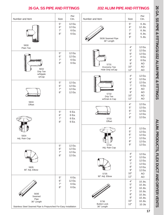### **26 GA. SS PIPE AND FITTINGS .032 ALUM PIPE AND FITTINGS**



26 GA. SS PIPE & FITINGS/032 ALUM PIPE & FITTINGS **26 GA. SS PIPE & FITTINGS/.032 ALUM PIPE & FITTINGS**

> **A LONG COOLS A LITA DOCT A NO DRYER NEALS ALUM. PRODUCTS, FLEX DUCT AND DRYER VENTS**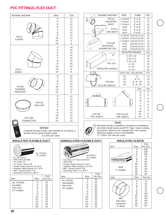### **PVC FITTINGS, FLEX DUCT**

| Number and Item                                                                                                                                                                                                                        |                                                                     |                                                                             | Size                                                        |      | Ctn.                                                                                                                                                                                                                              |                                                                     |                                                                | Nur                                       |
|----------------------------------------------------------------------------------------------------------------------------------------------------------------------------------------------------------------------------------------|---------------------------------------------------------------------|-----------------------------------------------------------------------------|-------------------------------------------------------------|------|-----------------------------------------------------------------------------------------------------------------------------------------------------------------------------------------------------------------------------------|---------------------------------------------------------------------|----------------------------------------------------------------|-------------------------------------------|
| PVC3<br><b>ELBOW</b>                                                                                                                                                                                                                   |                                                                     |                                                                             | 3"<br>4"<br>5"<br>6"<br>7"<br>8"<br>9"<br>10"<br>12"<br>14" |      | 12<br>12<br>12<br>12<br>12<br>12<br>12<br>12<br>4<br>4                                                                                                                                                                            |                                                                     |                                                                |                                           |
| PVC4<br>ANGLE                                                                                                                                                                                                                          |                                                                     |                                                                             | 3"<br>4"<br>5"<br>6"<br>7"<br>8"<br>9"<br>10"<br>12"<br>14" |      | 24<br>24<br>24<br>24<br>24<br>24<br>24<br>24<br>8<br>8                                                                                                                                                                            |                                                                     |                                                                | PEI<br><b>REGI</b>                        |
| PCV66<br><b>TAPERED</b><br><b>REDUCER</b>                                                                                                                                                                                              |                                                                     |                                                                             | 6"<br>7"<br>8"<br>9"<br>10"<br>12"<br>14"                   |      | 12<br>12<br>12<br>12<br>12<br>12<br>6                                                                                                                                                                                             |                                                                     |                                                                | COL                                       |
| <b>PVC 940</b>                                                                                                                                                                                                                         | <b>PVC 64</b><br><b>END CAP</b>                                     |                                                                             | 3"<br>4"<br>5"<br>6"<br>7"<br>8"<br>9"<br>10"<br>12"        |      | 12<br>12<br>12<br>12<br>12<br>12<br>12<br>12<br>12                                                                                                                                                                                |                                                                     |                                                                | <b>PVC 90°</b><br>TEE JOINTS              |
| <b>CONNECTOR</b>                                                                                                                                                                                                                       |                                                                     | <b>SPRAY</b><br>aerosol can for quick scratch repair.<br>(12 cans per case) | 14"                                                         |      | 12<br>A special formula of poly-vinyl chloride for air drying. In                                                                                                                                                                 |                                                                     |                                                                | Norm<br>are sl<br>perm<br>adhe:<br>2" x 1 |
| <b>INSULATED FLEXIBLE DUCT</b><br>· UL 181 Class 1<br>• NFPA 90A and 90B<br>• "R" Factor 4.2<br>• "K" Factor .262 at 75F<br>· Positive Static Pressure 10" W.G.<br>. Negative Static Pressure 1/2" W.G.<br>· Max. Velocity 6000 F.P.M. | No. GP250C<br>25' Lengths                                           |                                                                             |                                                             |      | UNINSULATED FLEXIBLE DUCT<br>• UL Class 1 Air Duct Connector<br>$\bullet$ NFPA 90A<br>· Positive Static Pressure 6" W.G.<br>• Negative Static Pressure 1/2" W.G.<br>· Max. Velocity 6000 F.P.M.<br>• Operating Temp. 0° to 200° F | No.RD250<br>25' Lengths                                             |                                                                |                                           |
| • Operating Temp 20° to 265°F<br>Item                                                                                                                                                                                                  | Size                                                                | Feet<br>Per Ctn.                                                            |                                                             | Item | No. RD250                                                                                                                                                                                                                         | Size<br>3"                                                          | 50                                                             | Feet<br>Per Ctn.                          |
| No. GP250C<br>Insulated<br><b>Flex Duct</b><br>25' Lengths                                                                                                                                                                             | 4"<br>5"<br>6"<br>7"<br>8"<br>9"<br>10"<br>12"<br>14"<br>16"<br>18" | 25<br>25<br>25<br>25<br>25<br>25<br>25<br>25<br>25<br>25<br>25              |                                                             |      | Uninsulated<br><b>Flex Duct</b><br>25' Lengths                                                                                                                                                                                    | 4"<br>5"<br>6"<br>7"<br>8"<br>9"<br>10"<br>12"<br>14"<br>16"<br>18" | 50<br>50<br>50<br>50<br>50<br>50<br>50<br>50<br>50<br>50<br>50 |                                           |

| Number and Item        | Size                    |                  | Collar               | Ctn.     |
|------------------------|-------------------------|------------------|----------------------|----------|
| PVC <sub>13</sub>      | 2 1/4x10                |                  | 6" or 8"             | 12       |
| <b>REGISTER</b>        | 2 1/4x12                |                  | 6" or 8"             | 12       |
| <b>BOOT</b>            | 2 1/4x14<br>4x10        |                  | 6" or 8"<br>6" or 8" | 12<br>12 |
| PVC <sub>17</sub>      | 4x12                    |                  | 6" or 8"             | 12       |
| <b>END BOOT</b>        | 4x14                    |                  | 6" or 8"             | 12       |
|                        | 2 1/4x10                |                  | 6,8,10,12,14         | 12       |
|                        | 2 1/4x12                |                  | 6,8,10,12,14         | 12       |
|                        | 2 1/4x14                |                  | 6,8,10,12,14         | 12       |
| <b>PVC103</b>          | 4x10                    |                  | 6,8,10,12,14         | 12       |
| <b>REGISTER</b>        | 4x12                    |                  | 6,8,10,12,14         | 12       |
| PERIMETER TEE          | 4x14                    |                  | 6,8,10,12,14         | 12       |
|                        | <b>REGISTER OPENING</b> |                  |                      | Ctn.     |
| 6"                     |                         | $21/4 \times 10$ |                      | 12       |
|                        |                         | $21/4 \times 12$ |                      | 12       |
|                        |                         | $21/4 \times 14$ |                      | 12       |
| <b>PVC 101</b>         |                         | $4 \times 10$    |                      | 12       |
| <b>REGISTER SADDLE</b> | 4 x 12                  |                  |                      | 12       |
|                        |                         | 4 x 14           |                      | 12       |
|                        | DUCT DIA. COLLAR DIA.   |                  |                      | Ctn.     |
|                        | 8"                      |                  | 6"                   | 12       |
|                        | 10"                     |                  | 6", 8"               | 12       |
| <b>PVC404</b>          | 12"                     |                  | 6", 8", 10"          | 12       |
| <b>COLLAR SADDLE</b>   | 14"                     |                  | 6", 8", 10"          | 12       |
|                        |                         |                  | Size                 | Ctn.     |
|                        |                         |                  | 3"                   | A        |
|                        |                         |                  | 4"                   | S        |
|                        |                         |                  | 5"                   | O        |
|                        |                         |                  | 6"                   | R        |
|                        |                         |                  | 7"                   | D        |
|                        |                         |                  | 8"<br>9"             | E        |
|                        |                         |                  | 10"                  | R        |
| <b>PVC 90°</b>         | PVC71945°               |                  | 12"                  | E        |
| TEE JOINTS             | <b>TEE JOINTS</b>       |                  | 14"                  | D        |
|                        |                         |                  |                      |          |

### TAPE



 $\overline{\phantom{0}}$ 

T

Normally all that is needed to complete an installation are sheet metal screws and PVC Tape. Tape is strong, permanent; ideal for use underground. Has superior adhesive quality in hot or cold weather. 2" x 108 ft. (24 rolls per case)

### **INSULATED SLEEVE**

|                  |      | Feet     |
|------------------|------|----------|
| Item             | Size | Per Ctn. |
|                  | 4"   | 100'     |
|                  | 5"   | 100'     |
|                  | 6"   | 100'     |
|                  | 7"   | 75'      |
|                  | 8"   | 50'      |
|                  | 9"   | 50'      |
|                  | 10"  | 50'      |
| INS <sub>5</sub> | 12"  | 40'      |
| 5' Lengths       | 14"  | 40'      |
|                  | 16"  | 40'      |
|                  | 18"  | 40'      |
| Item             | Size | Per Ctn. |
|                  | 4"   | 12       |
|                  | 5"   | 12       |
|                  | 6"   | 12       |
|                  | 7"   | 12       |
|                  | 8"   | 12       |
|                  | 9"   | AO       |
|                  | 10"  | AO       |
| 940              | 12"  | AO       |
| <b>Flex Duct</b> | 14"  | AO       |
| Connector        | 16"  | AO       |
| 5" Body          | 18"  | AO       |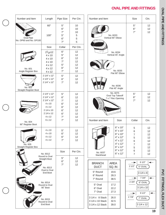### **OVAL PIPE AND FITTINGS**

| Number and Item               | Length                         | Pipe Size | Per Ctn. | Number and Item                      |                            | Size           | Ctn.             |
|-------------------------------|--------------------------------|-----------|----------|--------------------------------------|----------------------------|----------------|------------------|
|                               |                                |           |          |                                      |                            |                |                  |
|                               | 60"                            | 5"        | 10       |                                      |                            | 5"             | 12               |
|                               |                                | 6"        | 10       |                                      |                            | 6"             | 12               |
|                               |                                | 7"        | 10       |                                      |                            | 7"             | 12               |
|                               | 100"                           | 5"        | 5        |                                      | No. 6033                   |                |                  |
| Oval Pipe                     |                                | 6"        | 5        |                                      | Vertical 90° Elbow         |                |                  |
| No. OP60 and No. OP100        |                                | 7"        |          |                                      |                            |                |                  |
|                               |                                |           | 5        |                                      |                            |                |                  |
|                               | Size                           | Collar    | Per Ctn. |                                      |                            |                |                  |
|                               | $2^{1}/4$ x12                  | 6"        | 12       | ۱J                                   | No. 6034                   |                |                  |
|                               | 4 x 10                         | $5"$      | 12       |                                      | Vertical 45° Angle         |                |                  |
|                               | 4 x 10                         | 6"        | 12       |                                      |                            |                |                  |
|                               | 4 x 10                         | 7"        | 12       |                                      |                            |                |                  |
|                               |                                | 5"        | 12       |                                      |                            |                |                  |
|                               | 4 x 12                         |           |          |                                      |                            |                |                  |
| No. 601                       | 4 x 12                         | 6"        | 12       |                                      |                            |                |                  |
| Angle Register Box            | 4 x 12                         | 7"        | 12       |                                      | No. 6035<br>Flat 90° Elbow |                |                  |
|                               | 2 1/4" x 12"                   | 5"        | 12       |                                      |                            |                |                  |
|                               | 2 1/4" x 12"                   | 6"        | 12       |                                      |                            |                |                  |
|                               | 2 1/4" x 12"                   | 7"        | 12       |                                      |                            |                |                  |
|                               |                                |           |          |                                      | No. 6036                   |                |                  |
| No. 602                       |                                |           |          |                                      | Flat 45° Angle             |                |                  |
| <b>Straight Register Boot</b> | 2 1/4" x 12"                   | 5"        |          |                                      | No. 6075                   | 5"             | 12               |
|                               |                                |           | 12       |                                      | Oval Top Takeoff           |                |                  |
|                               | 2 1/4" x 12"                   | 6"        | 12       |                                      | 7 x 7 Rec Opening          | 6"             | 12               |
|                               | 2 1/4" x 12"                   | 7"        | 12       |                                      |                            | 7"             | 12               |
|                               | 4 x 10                         | 6"        | 12       |                                      |                            |                |                  |
|                               | 4 x 12                         | 6"        | 12       |                                      |                            |                |                  |
|                               | $21/4 \times 10$               | 6"        | 12       |                                      |                            |                |                  |
|                               |                                |           |          |                                      |                            |                |                  |
|                               | 2 1/4 x 12                     | 6"        | 12       |                                      |                            |                |                  |
|                               | 4 x 12                         | 7"        | 12       |                                      |                            |                |                  |
|                               | 6 x 12                         | 7"        | 12       | Number and Item                      | Size                       | Collar         | Ctn.             |
| No. 604<br>90° Register Boot  |                                |           |          |                                      |                            |                |                  |
|                               |                                |           |          |                                      | 6" x 10"                   |                | 12               |
|                               | 4 x 10                         | 5"        | 12       |                                      | 6" x 10"                   | 5              |                  |
|                               | 4 x 10                         | 6"        |          |                                      |                            | 6              | 12               |
|                               |                                |           | 12       |                                      | 6" x 10"                   | $\overline{7}$ | 12               |
|                               | 4 x 12                         | 6"        | 12       |                                      | 4" x 12"                   | 5              | 12               |
|                               | 4 x 12                         | 7"        | 12       |                                      | 4" x 12"                   | 6              | 12               |
| No. 605                       |                                |           |          |                                      | 4" x 12"                   | $\overline{7}$ | 12               |
| <b>Straight Register Box</b>  |                                |           |          |                                      | 6" x 12"                   |                | 12               |
|                               |                                |           |          |                                      |                            | 5              |                  |
|                               |                                | Size      | Per Ctn. | No. 6037                             | 6" x 12"                   | 6              | 12               |
|                               | No. 6012                       |           |          | Stackhead                            | 6" x 12"                   | $\overline{7}$ | 12               |
|                               | Round to Oval<br>Straight Boot | 5"        | 12       |                                      |                            |                |                  |
|                               |                                | 6"        | 12       | <b>BRANCH</b>                        | <b>AREA</b>                | ➤              | 61/2"            |
|                               |                                | 7"        | 12       | <b>DUCT</b>                          | SQ. IN                     | 21/2"          | 5" OVAL          |
|                               |                                |           |          |                                      |                            |                |                  |
|                               | No. 6013<br>Oval to Oval       |           |          |                                      |                            |                |                  |
|                               | End Boot                       |           |          | 5" Round                             | 19.6                       |                | $31/4 \times 8$  |
|                               |                                |           |          | 6" Round                             | 28.3                       |                |                  |
|                               |                                |           |          | 7" Round                             | 38.5                       | $\rightarrow$  | 7 3/4"           |
|                               | No. 6014                       |           |          |                                      |                            | 23/4"          | 6" OVAL          |
|                               | Round to Oval                  |           |          | 5" Oval                              | 17.2                       |                |                  |
|                               | 90° Boot                       |           |          | 6" Oval                              | 22.2                       |                | $31/4 \times 10$ |
|                               |                                |           |          | 7" Oval                              | 27.3                       | →              | 9 1/2"           |
|                               |                                |           |          |                                      |                            |                |                  |
|                               | No. 6015                       |           |          | 3 1/4 x 8 Stack                      | 26.0                       | 27/8"          | 7" OVAL          |
|                               | Round to Oval<br>End Boot      |           |          | 3 1/4 x 10 Stack<br>3 1/4 x 12 Stack | 32.5<br>39.0               |                | 3 1/4 x 12       |

PVC FITTINGS, FLEX DUCT **PVC FITTINGS, FLEX DUCT**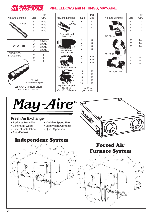

### **PIPE ELBOWS and FITTINGS, MAY-AIRE**

|                                              |                            | Per     |  |  |  |
|----------------------------------------------|----------------------------|---------|--|--|--|
| No. and Lengths                              | Size                       | Ctn.    |  |  |  |
|                                              | 5"                         | 20 Jts. |  |  |  |
| 12" Pipe                                     | 6"                         | 20 Jts. |  |  |  |
|                                              | 7"                         | 20 Jts. |  |  |  |
|                                              | 8"                         | 20 Jts. |  |  |  |
|                                              |                            |         |  |  |  |
|                                              | 5"                         | 10 Jts. |  |  |  |
| 24", 36" Pipe                                | 6"                         | 10 Jts. |  |  |  |
|                                              | 7"                         | 10 Jts. |  |  |  |
|                                              | 8"                         | 10 Jts. |  |  |  |
| <b>SLIPS INTO</b>                            | 6"                         | 1       |  |  |  |
| <b>STOVE PIPE</b>                            | 7"                         | 1       |  |  |  |
|                                              | 8"                         | 1       |  |  |  |
|                                              |                            |         |  |  |  |
|                                              |                            |         |  |  |  |
|                                              |                            |         |  |  |  |
|                                              | No. 906<br>Chimney Adapter |         |  |  |  |
| SLIPS OVER INNER LINER<br>OF CLASS A CHIMNEY |                            |         |  |  |  |
|                                              |                            |         |  |  |  |

|                          |          | Per        |
|--------------------------|----------|------------|
| No. and Lengths          | Size     | Ctn.       |
| No.                      | 6"       | 12         |
| 906012                   | 7"       | 12         |
|                          | 8"       | 12         |
|                          |          |            |
| Oval to Round            |          |            |
| Transition               |          |            |
|                          | 5"       | 12         |
|                          | 6"       | 12         |
|                          | 7"       | 12         |
|                          | 8"       | 12         |
| No. 9051PL<br>No. 9052CR |          |            |
|                          |          |            |
| $\mathcal{H}$            | 6"       | A/O        |
|                          | 7"       | A/O        |
|                          | 8"       | A/O        |
|                          |          |            |
| No. 9090 Connector       |          |            |
|                          | 6"       | 12         |
|                          | 7"       | 12         |
|                          | 8"       | 12         |
|                          | 9"       | 12         |
| No. 9015                 | 10"      | 12         |
| (Big End Crimped)        |          |            |
| No. 9016                 | No. 9020 |            |
| (Sm. End Crimped)        |          | (No Crimp) |

| No. and Lengths           | Size                 | Per<br>Ctn.          |
|---------------------------|----------------------|----------------------|
| 90° Elbow                 | 5"<br>6"<br>7"<br>8" | 12<br>12<br>12<br>12 |
| 45° Angle<br><b>RANTI</b> | 6"<br>7"<br>8"       | 24<br>24<br>24       |
| No. 9045 Tee              | 6"<br>7"<br>8"       | A/O<br>A/O<br>A/O    |

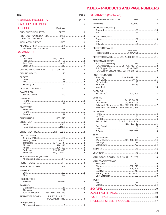### **INDEX - PRODUCTS AND PAGE NUMBERS**

| <b>Item</b>                           | Page |
|---------------------------------------|------|
|                                       |      |
|                                       |      |
|                                       |      |
| FLEX DUCT INSULATEDGP25018            |      |
| FLEX DUCT UNINSULATED RD25018         |      |
|                                       |      |
|                                       |      |
|                                       |      |
| <b>GALVANIZED</b>                     |      |
| CAPS                                  |      |
|                                       |      |
|                                       |      |
|                                       |      |
| CEILING DIFFUSER BOX 914, 916, 917 9  |      |
|                                       |      |
| <b>CLEATS</b>                         |      |
|                                       |      |
|                                       |      |
|                                       |      |
| DAMPER BOX                            |      |
| <b>DAMPERS</b>                        |      |
|                                       |      |
| <b>DIVERTERS</b>                      |      |
|                                       |      |
|                                       |      |
|                                       |      |
|                                       |      |
|                                       |      |
|                                       |      |
| DRYER VENT BOX 502-4, 502-6 14        |      |
| <b>DUCT/FITTINGS</b>                  |      |
|                                       |      |
| Transitions 46L, 47C, 48R 4           |      |
|                                       |      |
| Reducers 113, 49, 49S 4               |      |
|                                       |      |
| ELBOWS/ANGLES (ROUND)                 |      |
|                                       |      |
|                                       |      |
| <b>HANGERS</b>                        |      |
|                                       |      |
| <b>HOLE CUTTER</b>                    |      |
| <b>PANNING</b>                        |      |
|                                       |      |
| Joist Pan Header 15A, 15G, 19A, 19G12 |      |
| PERIMETER BOOTSP5, P7, P13, P17,      |      |
| PIPE (ROUND)                          |      |

### **GALVANIZED (Continued)**

|  | REDUCERS (ROUND)                                                                 |  |  |
|--|----------------------------------------------------------------------------------|--|--|
|  |                                                                                  |  |  |
|  | <b>REGISTER BOXES</b>                                                            |  |  |
|  |                                                                                  |  |  |
|  |                                                                                  |  |  |
|  | <b>REGISTER FRAMES</b>                                                           |  |  |
|  |                                                                                  |  |  |
|  | REGISTER HEADS 2S, 2L, 2D, 32, 26 11                                             |  |  |
|  | <b>RETURN AIR DROPS</b>                                                          |  |  |
|  | R.A. Drop Assembly 71-23153<br>R.A. Assembly70, 70K, 71, 71K3                    |  |  |
|  | R.A./Support BoxSB30, SB383                                                      |  |  |
|  | R.A./Support Box/w FilterSBF 30, SBF 363                                         |  |  |
|  | ROOF PRODUCTS                                                                    |  |  |
|  | Flashing110, 110SP, 11115                                                        |  |  |
|  |                                                                                  |  |  |
|  |                                                                                  |  |  |
|  |                                                                                  |  |  |
|  | <b>SADDLES</b>                                                                   |  |  |
|  | <b>SPIN-INS</b>                                                                  |  |  |
|  |                                                                                  |  |  |
|  | Duct Board90, 91, 92, 937                                                        |  |  |
|  | Bellmouth Metal 951, 952, 953, 9547<br>Bellmouth Duct Board 955, 956, 957, 958 7 |  |  |
|  | <b>TAKEOFFS</b>                                                                  |  |  |
|  |                                                                                  |  |  |
|  |                                                                                  |  |  |
|  |                                                                                  |  |  |
|  | Rect. to Rd. T10, T12, T14, T15,                                                 |  |  |
|  |                                                                                  |  |  |
|  |                                                                                  |  |  |
|  |                                                                                  |  |  |
|  | <b>TEES</b>                                                                      |  |  |
|  | Water Heater421, 420, 49014                                                      |  |  |
|  |                                                                                  |  |  |
|  |                                                                                  |  |  |
|  |                                                                                  |  |  |
|  |                                                                                  |  |  |
|  | WALL STACK BOOTS 5, 7, 13, 17, 17L, 17R 10                                       |  |  |
|  | <b>WALLSTACK/FITTINGS</b>                                                        |  |  |
|  |                                                                                  |  |  |
|  |                                                                                  |  |  |
|  |                                                                                  |  |  |
|  | Starting Collar 35, 36, 4010                                                     |  |  |
|  |                                                                                  |  |  |
|  | <b>WYES</b>                                                                      |  |  |
|  |                                                                                  |  |  |
|  |                                                                                  |  |  |
|  |                                                                                  |  |  |
|  |                                                                                  |  |  |
|  |                                                                                  |  |  |
|  |                                                                                  |  |  |